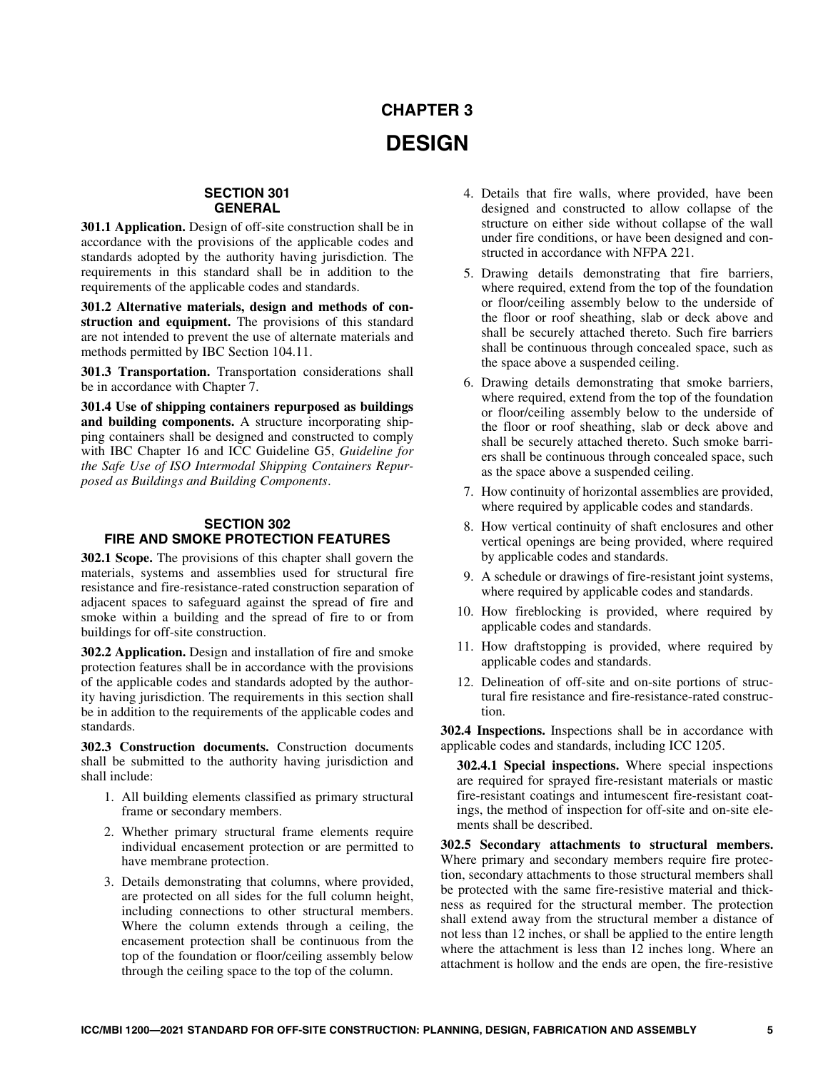# **CHAPTER 3 DESIGN**

# **SECTION 301 GENERAL**

**301.1 Application.** Design of off-site construction shall be in accordance with the provisions of the applicable codes and standards adopted by the authority having jurisdiction. The requirements in this standard shall be in addition to the requirements of the applicable codes and standards.

**301.2 Alternative materials, design and methods of construction and equipment.** The provisions of this standard are not intended to prevent the use of alternate materials and methods permitted by IBC Section 104.11.

**301.3 Transportation.** Transportation considerations shall be in accordance with Chapter 7.

**301.4 Use of shipping containers repurposed as buildings and building components.** A structure incorporating shipping containers shall be designed and constructed to comply with IBC Chapter 16 and ICC Guideline G5, *Guideline for the Safe Use of ISO Intermodal Shipping Containers Repurposed as Buildings and Building Components*.

# **SECTION 302 FIRE AND SMOKE PROTECTION FEATURES**

**302.1 Scope.** The provisions of this chapter shall govern the materials, systems and assemblies used for structural fire resistance and fire-resistance-rated construction separation of adjacent spaces to safeguard against the spread of fire and smoke within a building and the spread of fire to or from buildings for off-site construction.

**302.2 Application.** Design and installation of fire and smoke protection features shall be in accordance with the provisions of the applicable codes and standards adopted by the authority having jurisdiction. The requirements in this section shall be in addition to the requirements of the applicable codes and standards.

**302.3 Construction documents.** Construction documents shall be submitted to the authority having jurisdiction and shall include:

- 1. All building elements classified as primary structural frame or secondary members.
- 2. Whether primary structural frame elements require individual encasement protection or are permitted to have membrane protection.
- 3. Details demonstrating that columns, where provided, are protected on all sides for the full column height, including connections to other structural members. Where the column extends through a ceiling, the encasement protection shall be continuous from the top of the foundation or floor/ceiling assembly below through the ceiling space to the top of the column.
- 4. Details that fire walls, where provided, have been designed and constructed to allow collapse of the structure on either side without collapse of the wall under fire conditions, or have been designed and constructed in accordance with NFPA 221.
- 5. Drawing details demonstrating that fire barriers, where required, extend from the top of the foundation or floor/ceiling assembly below to the underside of the floor or roof sheathing, slab or deck above and shall be securely attached thereto. Such fire barriers shall be continuous through concealed space, such as the space above a suspended ceiling.
- 6. Drawing details demonstrating that smoke barriers, where required, extend from the top of the foundation or floor/ceiling assembly below to the underside of the floor or roof sheathing, slab or deck above and shall be securely attached thereto. Such smoke barriers shall be continuous through concealed space, such as the space above a suspended ceiling.
- 7. How continuity of horizontal assemblies are provided, where required by applicable codes and standards.
- 8. How vertical continuity of shaft enclosures and other vertical openings are being provided, where required by applicable codes and standards.
- 9. A schedule or drawings of fire-resistant joint systems, where required by applicable codes and standards.
- 10. How fireblocking is provided, where required by applicable codes and standards.
- 11. How draftstopping is provided, where required by applicable codes and standards.
- 12. Delineation of off-site and on-site portions of structural fire resistance and fire-resistance-rated construction.

**302.4 Inspections.** Inspections shall be in accordance with applicable codes and standards, including ICC 1205.

**302.4.1 Special inspections.** Where special inspections are required for sprayed fire-resistant materials or mastic fire-resistant coatings and intumescent fire-resistant coatings, the method of inspection for off-site and on-site elements shall be described.

**302.5 Secondary attachments to structural members.** Where primary and secondary members require fire protection, secondary attachments to those structural members shall be protected with the same fire-resistive material and thickness as required for the structural member. The protection shall extend away from the structural member a distance of not less than 12 inches, or shall be applied to the entire length where the attachment is less than 12 inches long. Where an attachment is hollow and the ends are open, the fire-resistive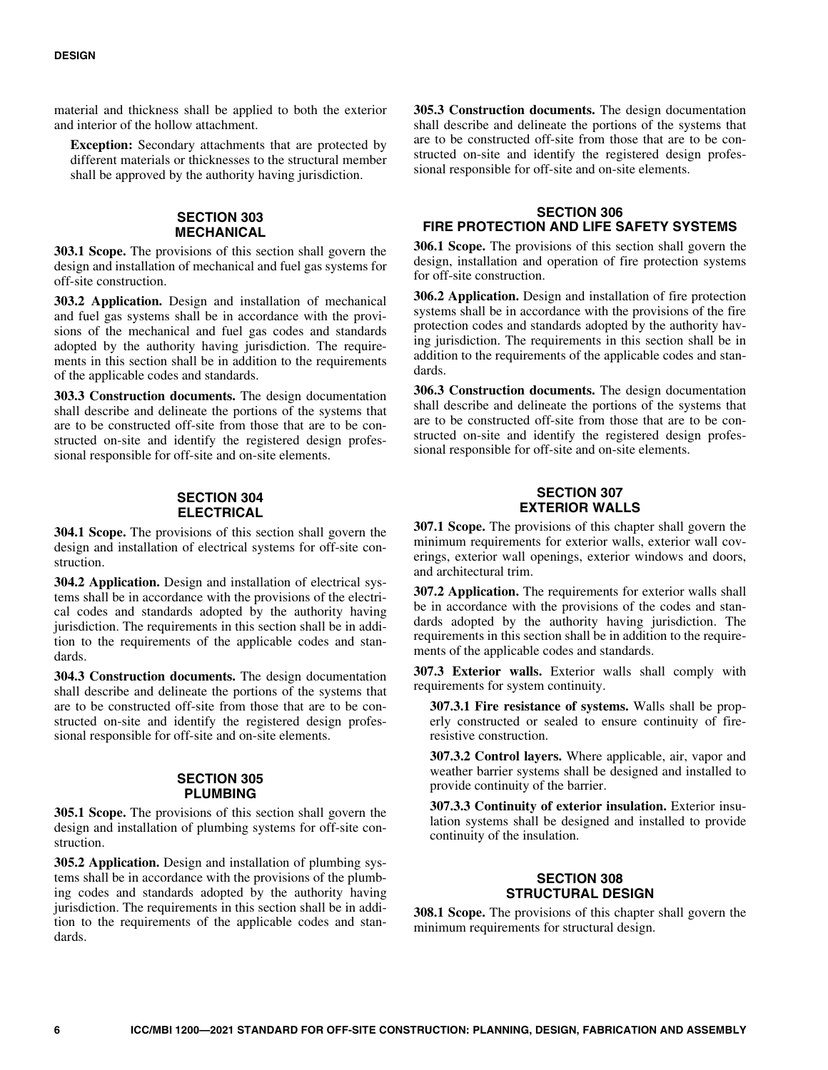material and thickness shall be applied to both the exterior and interior of the hollow attachment.

**Exception:** Secondary attachments that are protected by different materials or thicknesses to the structural member shall be approved by the authority having jurisdiction.

### **SECTION 303 MECHANICAL**

**303.1 Scope.** The provisions of this section shall govern the design and installation of mechanical and fuel gas systems for off-site construction.

**303.2 Application.** Design and installation of mechanical and fuel gas systems shall be in accordance with the provisions of the mechanical and fuel gas codes and standards adopted by the authority having jurisdiction. The requirements in this section shall be in addition to the requirements of the applicable codes and standards.

 are to be constructed off-site from those that are to be con-**303.3 Construction documents.** The design documentation shall describe and delineate the portions of the systems that structed on-site and identify the registered design professional responsible for off-site and on-site elements.

# **SECTION 304 ELECTRICAL**

**304.1 Scope.** The provisions of this section shall govern the design and installation of electrical systems for off-site construction.

**304.2 Application.** Design and installation of electrical systems shall be in accordance with the provisions of the electrical codes and standards adopted by the authority having jurisdiction. The requirements in this section shall be in addition to the requirements of the applicable codes and standards.

**304.3 Construction documents.** The design documentation shall describe and delineate the portions of the systems that are to be constructed off-site from those that are to be constructed on-site and identify the registered design professional responsible for off-site and on-site elements.

# **SECTION 305 PLUMBING**

**305.1 Scope.** The provisions of this section shall govern the design and installation of plumbing systems for off-site construction.

**305.2 Application.** Design and installation of plumbing systems shall be in accordance with the provisions of the plumbing codes and standards adopted by the authority having jurisdiction. The requirements in this section shall be in addition to the requirements of the applicable codes and standards.

**305.3 Construction documents.** The design documentation shall describe and delineate the portions of the systems that are to be constructed off-site from those that are to be constructed on-site and identify the registered design professional responsible for off-site and on-site elements.

# **SECTION 306 FIRE PROTECTION AND LIFE SAFETY SYSTEMS**

**306.1 Scope.** The provisions of this section shall govern the design, installation and operation of fire protection systems for off-site construction.

**306.2 Application.** Design and installation of fire protection systems shall be in accordance with the provisions of the fire protection codes and standards adopted by the authority having jurisdiction. The requirements in this section shall be in addition to the requirements of the applicable codes and standards.

**306.3 Construction documents.** The design documentation shall describe and delineate the portions of the systems that are to be constructed off-site from those that are to be constructed on-site and identify the registered design professional responsible for off-site and on-site elements.

### **SECTION 307 EXTERIOR WALLS**

**307.1 Scope.** The provisions of this chapter shall govern the minimum requirements for exterior walls, exterior wall coverings, exterior wall openings, exterior windows and doors, and architectural trim.

**307.2 Application.** The requirements for exterior walls shall be in accordance with the provisions of the codes and standards adopted by the authority having jurisdiction. The requirements in this section shall be in addition to the requirements of the applicable codes and standards.

**307.3 Exterior walls.** Exterior walls shall comply with requirements for system continuity.

**307.3.1 Fire resistance of systems.** Walls shall be properly constructed or sealed to ensure continuity of fireresistive construction.

**307.3.2 Control layers.** Where applicable, air, vapor and weather barrier systems shall be designed and installed to provide continuity of the barrier.

**307.3.3 Continuity of exterior insulation.** Exterior insulation systems shall be designed and installed to provide continuity of the insulation.

# **SECTION 308 STRUCTURAL DESIGN**

**308.1 Scope.** The provisions of this chapter shall govern the minimum requirements for structural design.